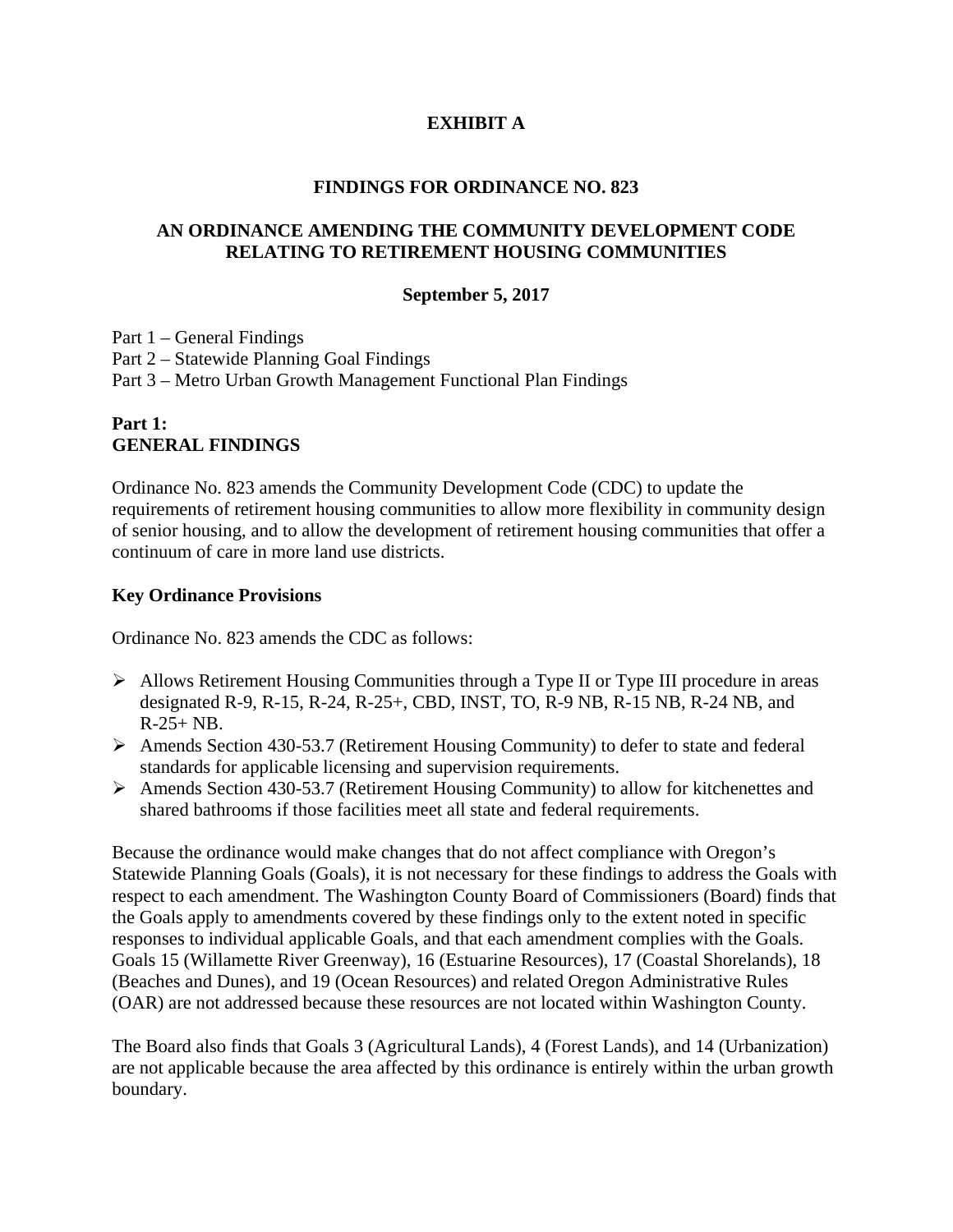## **EXHIBIT A**

### **FINDINGS FOR ORDINANCE NO. 823**

### **AN ORDINANCE AMENDING THE COMMUNITY DEVELOPMENT CODE RELATING TO RETIREMENT HOUSING COMMUNITIES**

### **September 5, 2017**

Part 1 – General Findings Part 2 – Statewide Planning Goal Findings Part 3 – Metro Urban Growth Management Functional Plan Findings

## **Part 1: GENERAL FINDINGS**

Ordinance No. 823 amends the Community Development Code (CDC) to update the requirements of retirement housing communities to allow more flexibility in community design of senior housing, and to allow the development of retirement housing communities that offer a continuum of care in more land use districts.

### **Key Ordinance Provisions**

Ordinance No. 823 amends the CDC as follows:

- $\triangleright$  Allows Retirement Housing Communities through a Type II or Type III procedure in areas designated R-9, R-15, R-24, R-25+, CBD, INST, TO, R-9 NB, R-15 NB, R-24 NB, and  $R-25+ NB$ .
- $\triangleright$  Amends Section 430-53.7 (Retirement Housing Community) to defer to state and federal standards for applicable licensing and supervision requirements.
- Amends Section 430-53.7 (Retirement Housing Community) to allow for kitchenettes and shared bathrooms if those facilities meet all state and federal requirements.

Because the ordinance would make changes that do not affect compliance with Oregon's Statewide Planning Goals (Goals), it is not necessary for these findings to address the Goals with respect to each amendment. The Washington County Board of Commissioners (Board) finds that the Goals apply to amendments covered by these findings only to the extent noted in specific responses to individual applicable Goals, and that each amendment complies with the Goals. Goals 15 (Willamette River Greenway), 16 (Estuarine Resources), 17 (Coastal Shorelands), 18 (Beaches and Dunes), and 19 (Ocean Resources) and related Oregon Administrative Rules (OAR) are not addressed because these resources are not located within Washington County.

The Board also finds that Goals 3 (Agricultural Lands), 4 (Forest Lands), and 14 (Urbanization) are not applicable because the area affected by this ordinance is entirely within the urban growth boundary.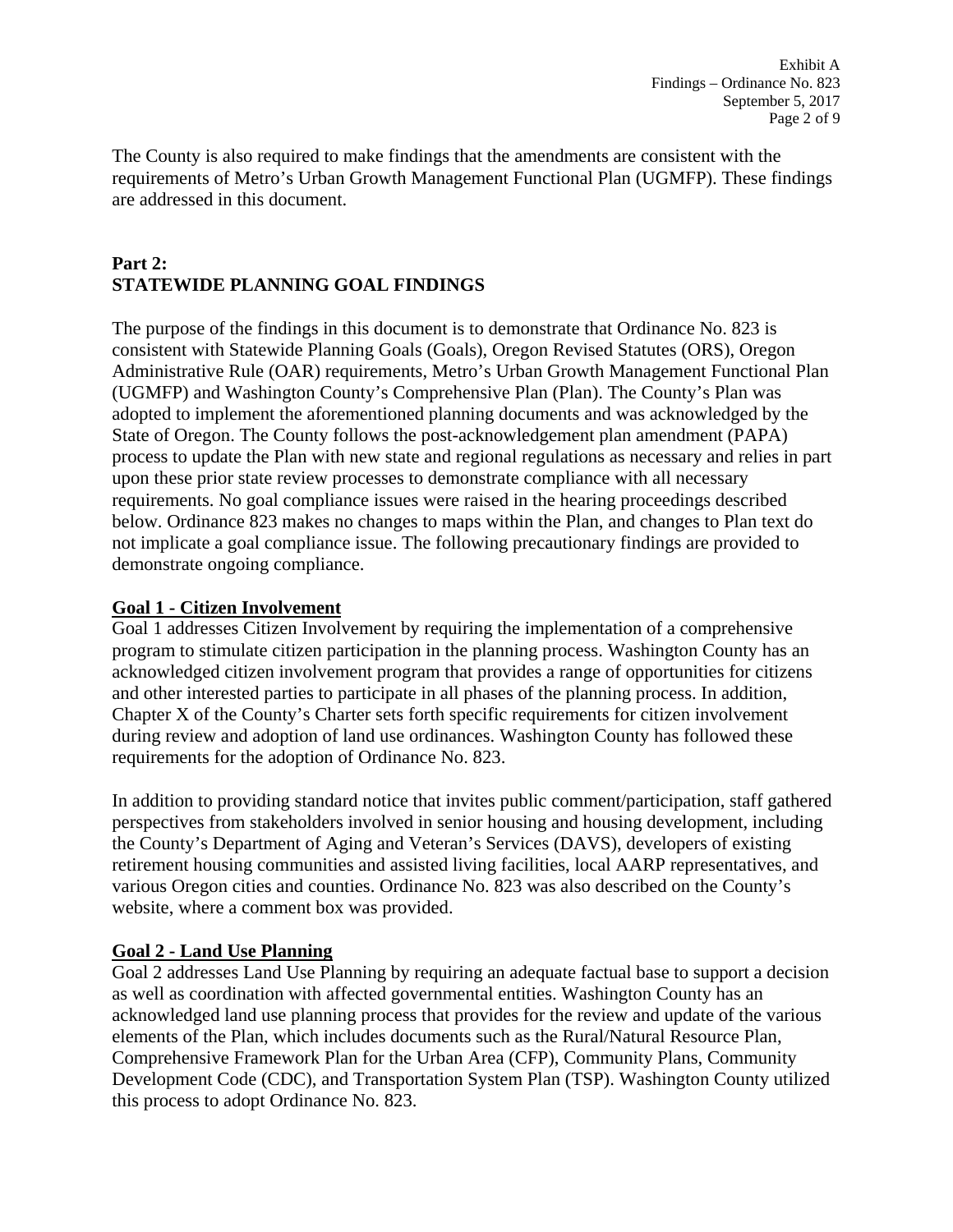The County is also required to make findings that the amendments are consistent with the requirements of Metro's Urban Growth Management Functional Plan (UGMFP). These findings are addressed in this document.

## **Part 2: STATEWIDE PLANNING GOAL FINDINGS**

The purpose of the findings in this document is to demonstrate that Ordinance No. 823 is consistent with Statewide Planning Goals (Goals), Oregon Revised Statutes (ORS), Oregon Administrative Rule (OAR) requirements, Metro's Urban Growth Management Functional Plan (UGMFP) and Washington County's Comprehensive Plan (Plan). The County's Plan was adopted to implement the aforementioned planning documents and was acknowledged by the State of Oregon. The County follows the post-acknowledgement plan amendment (PAPA) process to update the Plan with new state and regional regulations as necessary and relies in part upon these prior state review processes to demonstrate compliance with all necessary requirements. No goal compliance issues were raised in the hearing proceedings described below. Ordinance 823 makes no changes to maps within the Plan, and changes to Plan text do not implicate a goal compliance issue. The following precautionary findings are provided to demonstrate ongoing compliance.

# **Goal 1 - Citizen Involvement**

Goal 1 addresses Citizen Involvement by requiring the implementation of a comprehensive program to stimulate citizen participation in the planning process. Washington County has an acknowledged citizen involvement program that provides a range of opportunities for citizens and other interested parties to participate in all phases of the planning process. In addition, Chapter X of the County's Charter sets forth specific requirements for citizen involvement during review and adoption of land use ordinances. Washington County has followed these requirements for the adoption of Ordinance No. 823.

In addition to providing standard notice that invites public comment/participation, staff gathered perspectives from stakeholders involved in senior housing and housing development, including the County's Department of Aging and Veteran's Services (DAVS), developers of existing retirement housing communities and assisted living facilities, local AARP representatives, and various Oregon cities and counties. Ordinance No. 823 was also described on the County's website, where a comment box was provided.

## **Goal 2 - Land Use Planning**

Goal 2 addresses Land Use Planning by requiring an adequate factual base to support a decision as well as coordination with affected governmental entities. Washington County has an acknowledged land use planning process that provides for the review and update of the various elements of the Plan, which includes documents such as the Rural/Natural Resource Plan, Comprehensive Framework Plan for the Urban Area (CFP), Community Plans, Community Development Code (CDC), and Transportation System Plan (TSP). Washington County utilized this process to adopt Ordinance No. 823.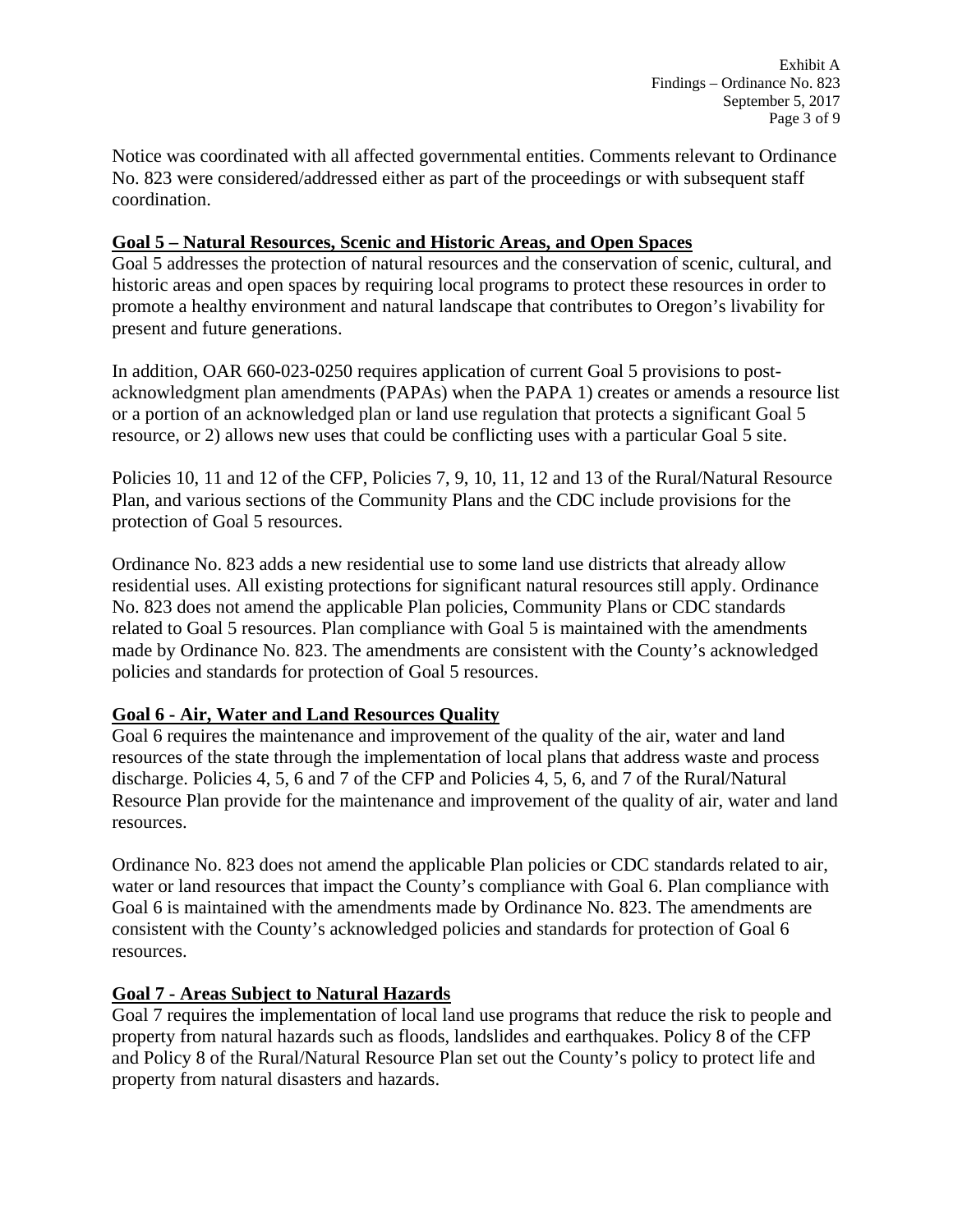Exhibit A Findings – Ordinance No. 823 September 5, 2017 Page 3 of 9

Notice was coordinated with all affected governmental entities. Comments relevant to Ordinance No. 823 were considered/addressed either as part of the proceedings or with subsequent staff coordination.

### **Goal 5 – Natural Resources, Scenic and Historic Areas, and Open Spaces**

Goal 5 addresses the protection of natural resources and the conservation of scenic, cultural, and historic areas and open spaces by requiring local programs to protect these resources in order to promote a healthy environment and natural landscape that contributes to Oregon's livability for present and future generations.

In addition, OAR 660-023-0250 requires application of current Goal 5 provisions to postacknowledgment plan amendments (PAPAs) when the PAPA 1) creates or amends a resource list or a portion of an acknowledged plan or land use regulation that protects a significant Goal 5 resource, or 2) allows new uses that could be conflicting uses with a particular Goal 5 site.

Policies 10, 11 and 12 of the CFP, Policies 7, 9, 10, 11, 12 and 13 of the Rural/Natural Resource Plan, and various sections of the Community Plans and the CDC include provisions for the protection of Goal 5 resources.

Ordinance No. 823 adds a new residential use to some land use districts that already allow residential uses. All existing protections for significant natural resources still apply. Ordinance No. 823 does not amend the applicable Plan policies, Community Plans or CDC standards related to Goal 5 resources. Plan compliance with Goal 5 is maintained with the amendments made by Ordinance No. 823. The amendments are consistent with the County's acknowledged policies and standards for protection of Goal 5 resources.

## **Goal 6 - Air, Water and Land Resources Quality**

Goal 6 requires the maintenance and improvement of the quality of the air, water and land resources of the state through the implementation of local plans that address waste and process discharge. Policies 4, 5, 6 and 7 of the CFP and Policies 4, 5, 6, and 7 of the Rural/Natural Resource Plan provide for the maintenance and improvement of the quality of air, water and land resources.

Ordinance No. 823 does not amend the applicable Plan policies or CDC standards related to air, water or land resources that impact the County's compliance with Goal 6. Plan compliance with Goal 6 is maintained with the amendments made by Ordinance No. 823. The amendments are consistent with the County's acknowledged policies and standards for protection of Goal 6 resources.

## **Goal 7 - Areas Subject to Natural Hazards**

Goal 7 requires the implementation of local land use programs that reduce the risk to people and property from natural hazards such as floods, landslides and earthquakes. Policy 8 of the CFP and Policy 8 of the Rural/Natural Resource Plan set out the County's policy to protect life and property from natural disasters and hazards.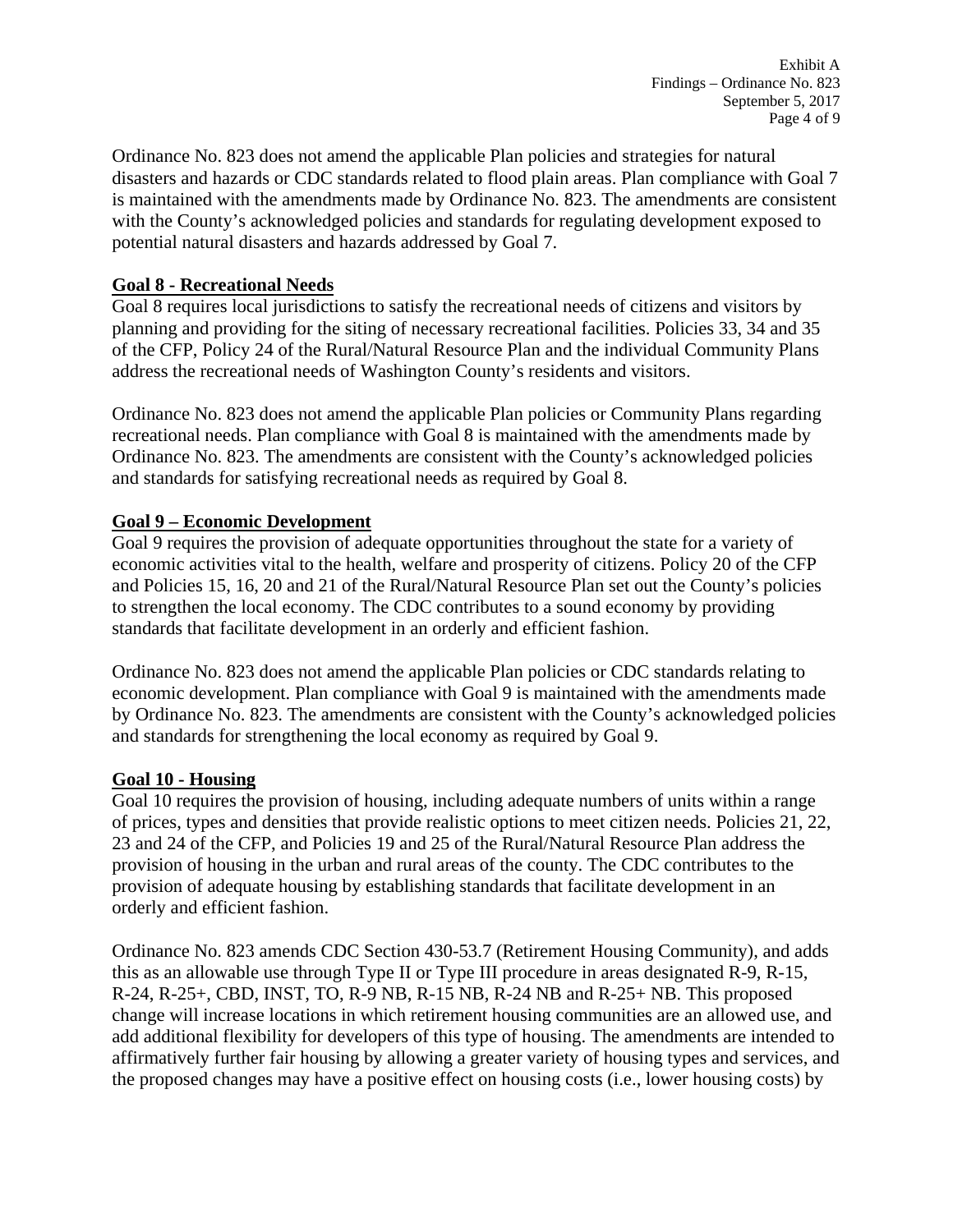Ordinance No. 823 does not amend the applicable Plan policies and strategies for natural disasters and hazards or CDC standards related to flood plain areas. Plan compliance with Goal 7 is maintained with the amendments made by Ordinance No. 823. The amendments are consistent with the County's acknowledged policies and standards for regulating development exposed to potential natural disasters and hazards addressed by Goal 7.

## **Goal 8 - Recreational Needs**

Goal 8 requires local jurisdictions to satisfy the recreational needs of citizens and visitors by planning and providing for the siting of necessary recreational facilities. Policies 33, 34 and 35 of the CFP, Policy 24 of the Rural/Natural Resource Plan and the individual Community Plans address the recreational needs of Washington County's residents and visitors.

Ordinance No. 823 does not amend the applicable Plan policies or Community Plans regarding recreational needs. Plan compliance with Goal 8 is maintained with the amendments made by Ordinance No. 823. The amendments are consistent with the County's acknowledged policies and standards for satisfying recreational needs as required by Goal 8.

# **Goal 9 – Economic Development**

Goal 9 requires the provision of adequate opportunities throughout the state for a variety of economic activities vital to the health, welfare and prosperity of citizens. Policy 20 of the CFP and Policies 15, 16, 20 and 21 of the Rural/Natural Resource Plan set out the County's policies to strengthen the local economy. The CDC contributes to a sound economy by providing standards that facilitate development in an orderly and efficient fashion.

Ordinance No. 823 does not amend the applicable Plan policies or CDC standards relating to economic development. Plan compliance with Goal 9 is maintained with the amendments made by Ordinance No. 823. The amendments are consistent with the County's acknowledged policies and standards for strengthening the local economy as required by Goal 9.

## **Goal 10 - Housing**

Goal 10 requires the provision of housing, including adequate numbers of units within a range of prices, types and densities that provide realistic options to meet citizen needs. Policies 21, 22, 23 and 24 of the CFP, and Policies 19 and 25 of the Rural/Natural Resource Plan address the provision of housing in the urban and rural areas of the county. The CDC contributes to the provision of adequate housing by establishing standards that facilitate development in an orderly and efficient fashion.

Ordinance No. 823 amends CDC Section 430-53.7 (Retirement Housing Community), and adds this as an allowable use through Type II or Type III procedure in areas designated R-9, R-15, R-24, R-25+, CBD, INST, TO, R-9 NB, R-15 NB, R-24 NB and R-25+ NB. This proposed change will increase locations in which retirement housing communities are an allowed use, and add additional flexibility for developers of this type of housing. The amendments are intended to affirmatively further fair housing by allowing a greater variety of housing types and services, and the proposed changes may have a positive effect on housing costs (i.e., lower housing costs) by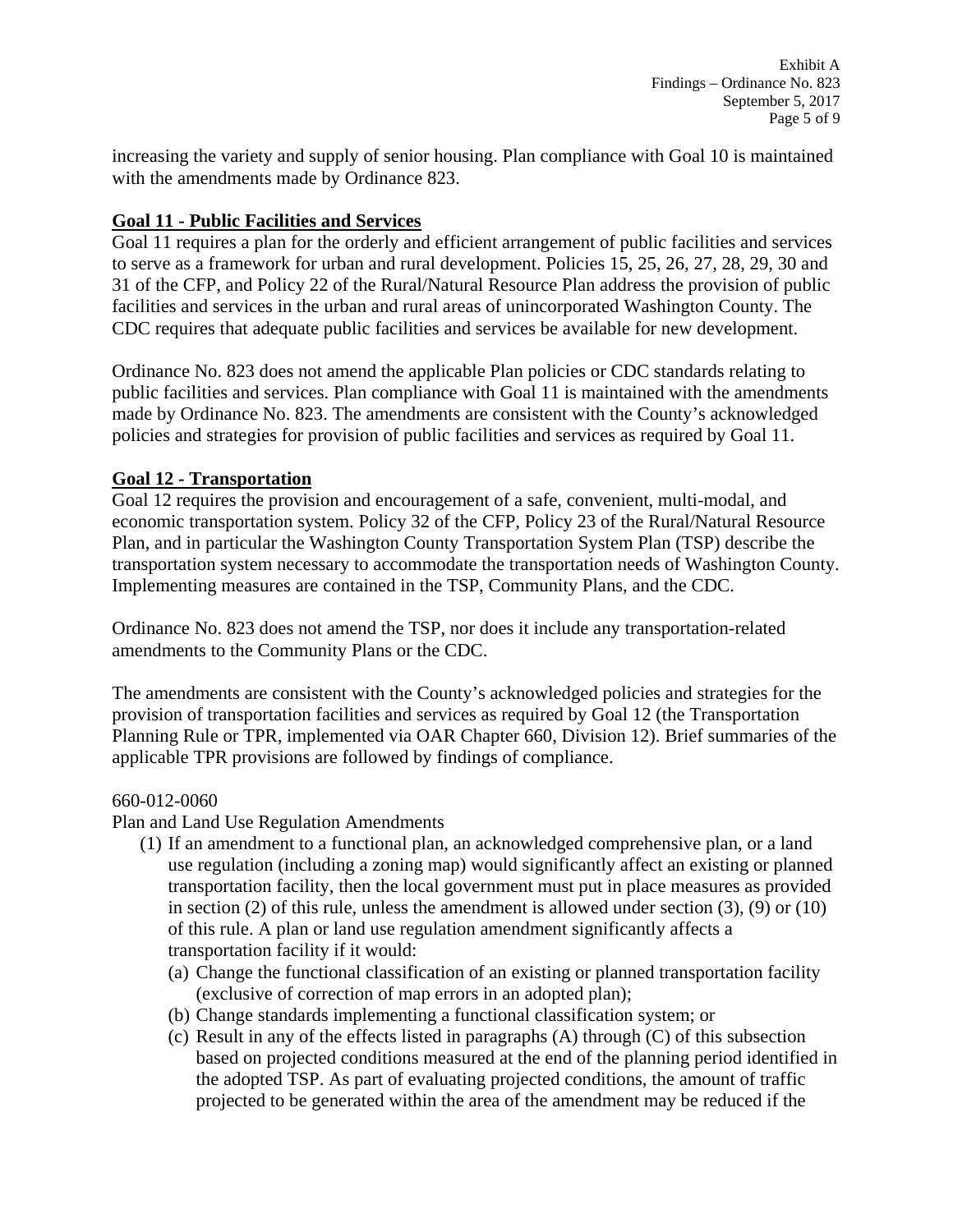increasing the variety and supply of senior housing. Plan compliance with Goal 10 is maintained with the amendments made by Ordinance 823.

## **Goal 11 - Public Facilities and Services**

Goal 11 requires a plan for the orderly and efficient arrangement of public facilities and services to serve as a framework for urban and rural development. Policies 15, 25, 26, 27, 28, 29, 30 and 31 of the CFP, and Policy 22 of the Rural/Natural Resource Plan address the provision of public facilities and services in the urban and rural areas of unincorporated Washington County. The CDC requires that adequate public facilities and services be available for new development.

Ordinance No. 823 does not amend the applicable Plan policies or CDC standards relating to public facilities and services. Plan compliance with Goal 11 is maintained with the amendments made by Ordinance No. 823. The amendments are consistent with the County's acknowledged policies and strategies for provision of public facilities and services as required by Goal 11.

# **Goal 12 - Transportation**

Goal 12 requires the provision and encouragement of a safe, convenient, multi-modal, and economic transportation system. Policy 32 of the CFP, Policy 23 of the Rural/Natural Resource Plan, and in particular the Washington County Transportation System Plan (TSP) describe the transportation system necessary to accommodate the transportation needs of Washington County. Implementing measures are contained in the TSP, Community Plans, and the CDC.

Ordinance No. 823 does not amend the TSP, nor does it include any transportation-related amendments to the Community Plans or the CDC.

The amendments are consistent with the County's acknowledged policies and strategies for the provision of transportation facilities and services as required by Goal 12 (the Transportation Planning Rule or TPR, implemented via OAR Chapter 660, Division 12). Brief summaries of the applicable TPR provisions are followed by findings of compliance.

## 660-012-0060

Plan and Land Use Regulation Amendments

- (1) If an amendment to a functional plan, an acknowledged comprehensive plan, or a land use regulation (including a zoning map) would significantly affect an existing or planned transportation facility, then the local government must put in place measures as provided in section (2) of this rule, unless the amendment is allowed under section (3), (9) or (10) of this rule. A plan or land use regulation amendment significantly affects a transportation facility if it would:
	- (a) Change the functional classification of an existing or planned transportation facility (exclusive of correction of map errors in an adopted plan);
	- (b) Change standards implementing a functional classification system; or
	- (c) Result in any of the effects listed in paragraphs (A) through (C) of this subsection based on projected conditions measured at the end of the planning period identified in the adopted TSP. As part of evaluating projected conditions, the amount of traffic projected to be generated within the area of the amendment may be reduced if the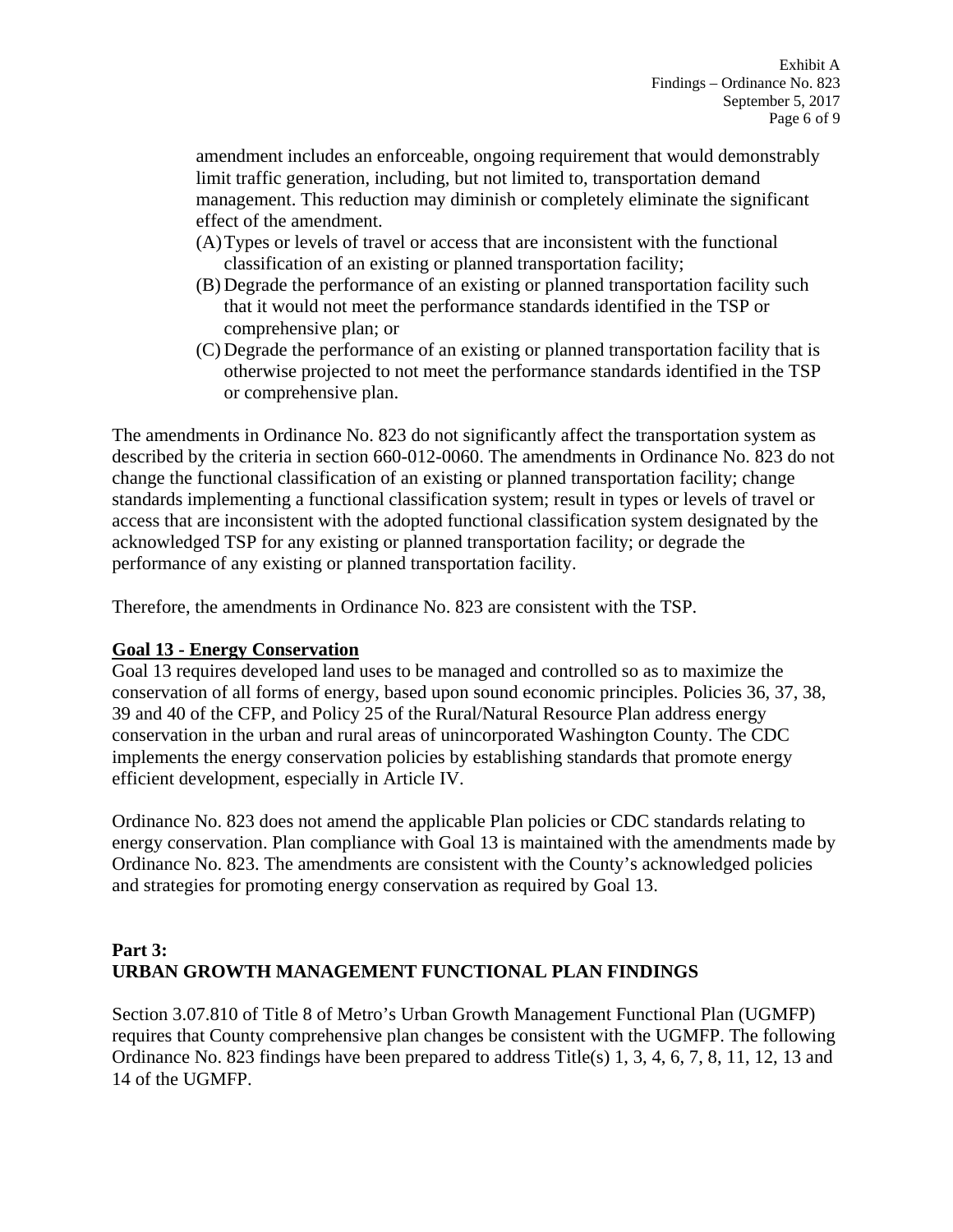amendment includes an enforceable, ongoing requirement that would demonstrably limit traffic generation, including, but not limited to, transportation demand management. This reduction may diminish or completely eliminate the significant effect of the amendment.

- (A)Types or levels of travel or access that are inconsistent with the functional classification of an existing or planned transportation facility;
- (B) Degrade the performance of an existing or planned transportation facility such that it would not meet the performance standards identified in the TSP or comprehensive plan; or
- (C) Degrade the performance of an existing or planned transportation facility that is otherwise projected to not meet the performance standards identified in the TSP or comprehensive plan.

The amendments in Ordinance No. 823 do not significantly affect the transportation system as described by the criteria in section 660-012-0060. The amendments in Ordinance No. 823 do not change the functional classification of an existing or planned transportation facility; change standards implementing a functional classification system; result in types or levels of travel or access that are inconsistent with the adopted functional classification system designated by the acknowledged TSP for any existing or planned transportation facility; or degrade the performance of any existing or planned transportation facility.

Therefore, the amendments in Ordinance No. 823 are consistent with the TSP.

## **Goal 13 - Energy Conservation**

Goal 13 requires developed land uses to be managed and controlled so as to maximize the conservation of all forms of energy, based upon sound economic principles. Policies 36, 37, 38, 39 and 40 of the CFP, and Policy 25 of the Rural/Natural Resource Plan address energy conservation in the urban and rural areas of unincorporated Washington County. The CDC implements the energy conservation policies by establishing standards that promote energy efficient development, especially in Article IV.

Ordinance No. 823 does not amend the applicable Plan policies or CDC standards relating to energy conservation. Plan compliance with Goal 13 is maintained with the amendments made by Ordinance No. 823. The amendments are consistent with the County's acknowledged policies and strategies for promoting energy conservation as required by Goal 13.

# **Part 3: URBAN GROWTH MANAGEMENT FUNCTIONAL PLAN FINDINGS**

Section 3.07.810 of Title 8 of Metro's Urban Growth Management Functional Plan (UGMFP) requires that County comprehensive plan changes be consistent with the UGMFP. The following Ordinance No. 823 findings have been prepared to address Title(s) 1, 3, 4, 6, 7, 8, 11, 12, 13 and 14 of the UGMFP.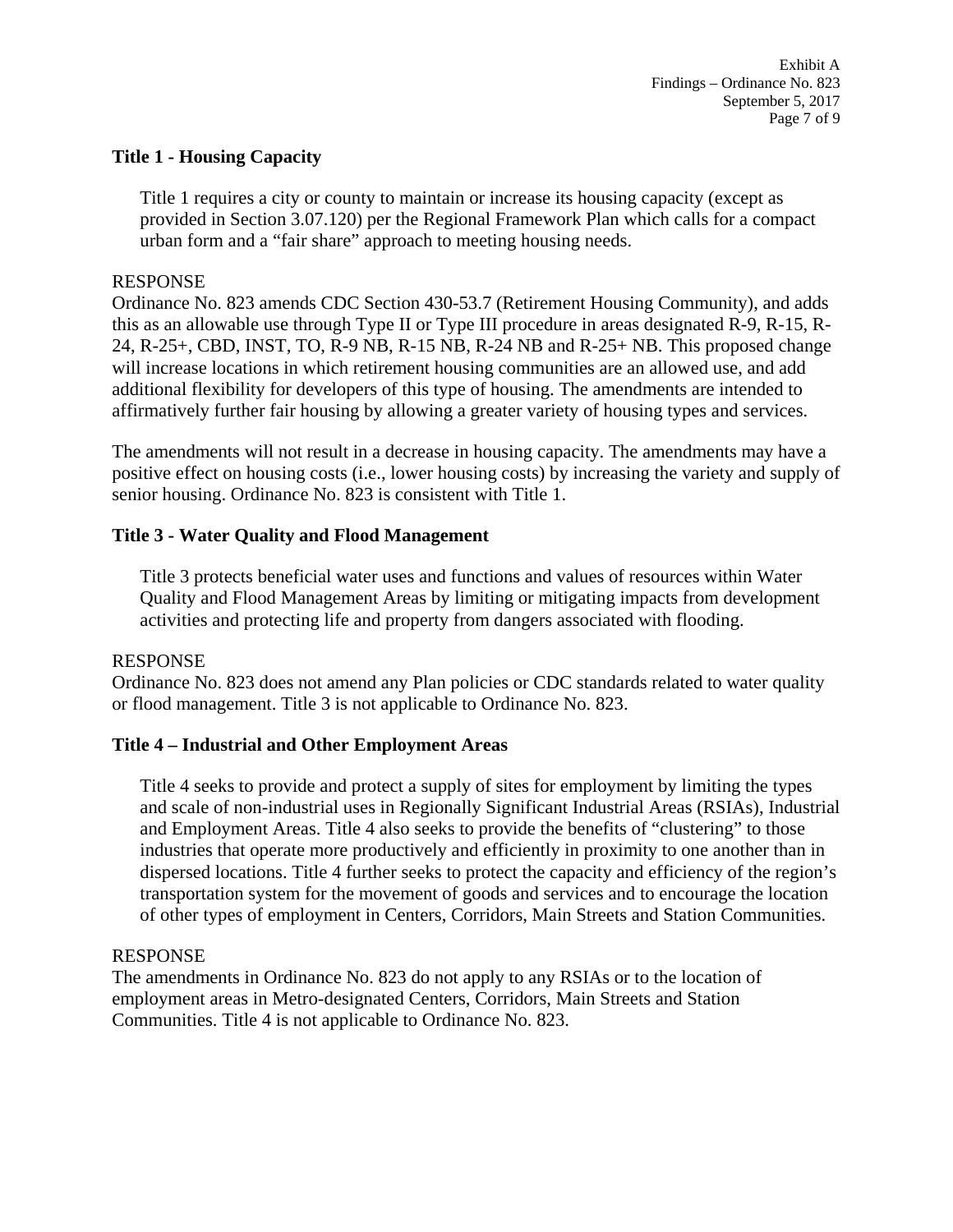### **Title 1 - Housing Capacity**

Title 1 requires a city or county to maintain or increase its housing capacity (except as provided in Section 3.07.120) per the Regional Framework Plan which calls for a compact urban form and a "fair share" approach to meeting housing needs.

### RESPONSE

Ordinance No. 823 amends CDC Section 430-53.7 (Retirement Housing Community), and adds this as an allowable use through Type II or Type III procedure in areas designated R-9, R-15, R-24, R-25+, CBD, INST, TO, R-9 NB, R-15 NB, R-24 NB and R-25+ NB. This proposed change will increase locations in which retirement housing communities are an allowed use, and add additional flexibility for developers of this type of housing. The amendments are intended to affirmatively further fair housing by allowing a greater variety of housing types and services.

The amendments will not result in a decrease in housing capacity. The amendments may have a positive effect on housing costs (i.e., lower housing costs) by increasing the variety and supply of senior housing. Ordinance No. 823 is consistent with Title 1.

## **Title 3 - Water Quality and Flood Management**

Title 3 protects beneficial water uses and functions and values of resources within Water Quality and Flood Management Areas by limiting or mitigating impacts from development activities and protecting life and property from dangers associated with flooding.

### RESPONSE

Ordinance No. 823 does not amend any Plan policies or CDC standards related to water quality or flood management. Title 3 is not applicable to Ordinance No. 823.

### **Title 4 – Industrial and Other Employment Areas**

Title 4 seeks to provide and protect a supply of sites for employment by limiting the types and scale of non-industrial uses in Regionally Significant Industrial Areas (RSIAs), Industrial and Employment Areas. Title 4 also seeks to provide the benefits of "clustering" to those industries that operate more productively and efficiently in proximity to one another than in dispersed locations. Title 4 further seeks to protect the capacity and efficiency of the region's transportation system for the movement of goods and services and to encourage the location of other types of employment in Centers, Corridors, Main Streets and Station Communities.

### RESPONSE

The amendments in Ordinance No. 823 do not apply to any RSIAs or to the location of employment areas in Metro-designated Centers, Corridors, Main Streets and Station Communities. Title 4 is not applicable to Ordinance No. 823.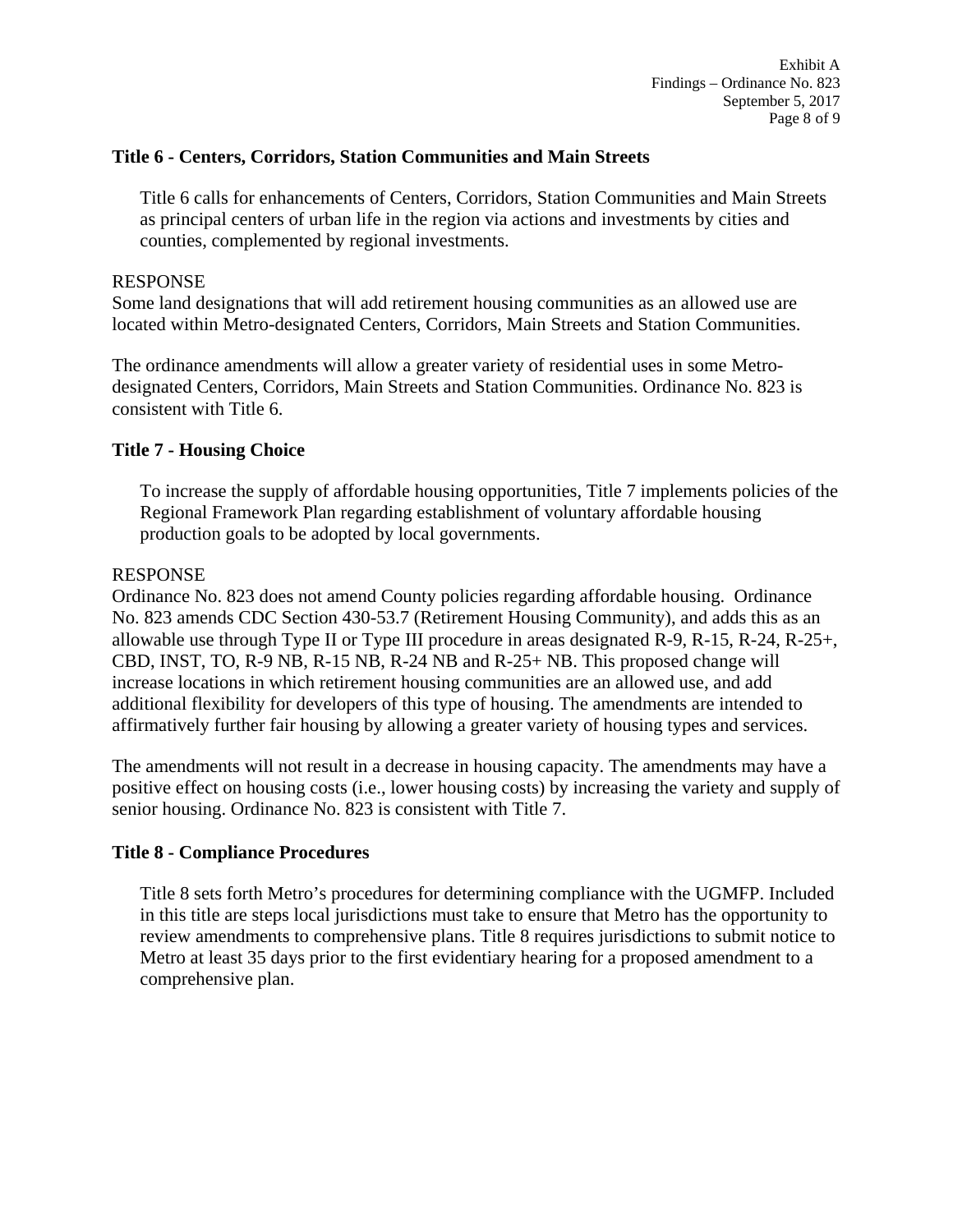#### **Title 6 - Centers, Corridors, Station Communities and Main Streets**

Title 6 calls for enhancements of Centers, Corridors, Station Communities and Main Streets as principal centers of urban life in the region via actions and investments by cities and counties, complemented by regional investments.

#### RESPONSE

Some land designations that will add retirement housing communities as an allowed use are located within Metro-designated Centers, Corridors, Main Streets and Station Communities.

The ordinance amendments will allow a greater variety of residential uses in some Metrodesignated Centers, Corridors, Main Streets and Station Communities. Ordinance No. 823 is consistent with Title 6.

### **Title 7 - Housing Choice**

To increase the supply of affordable housing opportunities, Title 7 implements policies of the Regional Framework Plan regarding establishment of voluntary affordable housing production goals to be adopted by local governments.

#### RESPONSE

Ordinance No. 823 does not amend County policies regarding affordable housing. Ordinance No. 823 amends CDC Section 430-53.7 (Retirement Housing Community), and adds this as an allowable use through Type II or Type III procedure in areas designated R-9, R-15, R-24, R-25+, CBD, INST, TO, R-9 NB, R-15 NB, R-24 NB and R-25+ NB. This proposed change will increase locations in which retirement housing communities are an allowed use, and add additional flexibility for developers of this type of housing. The amendments are intended to affirmatively further fair housing by allowing a greater variety of housing types and services.

The amendments will not result in a decrease in housing capacity. The amendments may have a positive effect on housing costs (i.e., lower housing costs) by increasing the variety and supply of senior housing. Ordinance No. 823 is consistent with Title 7.

### **Title 8 - Compliance Procedures**

Title 8 sets forth Metro's procedures for determining compliance with the UGMFP. Included in this title are steps local jurisdictions must take to ensure that Metro has the opportunity to review amendments to comprehensive plans. Title 8 requires jurisdictions to submit notice to Metro at least 35 days prior to the first evidentiary hearing for a proposed amendment to a comprehensive plan.